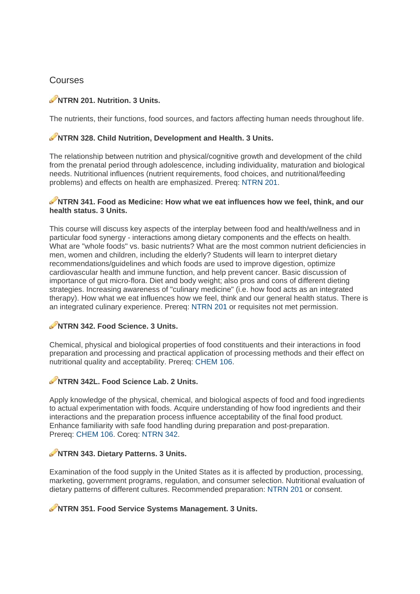# Courses

# NTRN 201. Nutrition. 3 Units.

The nutrients, their functions, food sources, and factors affecting human needs throughout life.

# NTRN 328. Child Nutrition, Development and Health. 3 Units.

The relationship between nutrition and physical/cognitive growth and development of the child from the prenatal period through adolescence, including individuality, maturation and biological needs. Nutritional influences (nutrient requirements, food choices, and nutritional/feeding problems) and effects on health are emphasized. Prereg: NTRN 201.

#### NTRN 341. Food as Medicine: How what we eat influences how we feel, think, and our health status, 3 Units.

This course will discuss key aspects of the interplay between food and health/wellness and in particular food synergy - interactions among dietary components and the effects on health. What are "whole foods" vs. basic nutrients? What are the most common nutrient deficiencies in men, women and children, including the elderly? Students will learn to interpret dietary recommendations/quidelines and which foods are used to improve digestion, optimize cardiovascular health and immune function, and help prevent cancer. Basic discussion of importance of gut micro-flora. Diet and body weight; also pros and cons of different dieting strategies. Increasing awareness of "culinary medicine" (i.e. how food acts as an integrated therapy). How what we eat influences how we feel, think and our general health status. There is an integrated culinary experience. Prereg: NTRN 201 or requisites not met permission.

# NTRN 342. Food Science, 3 Units.

Chemical, physical and biological properties of food constituents and their interactions in food preparation and processing and practical application of processing methods and their effect on nutritional quality and acceptability. Prereg: CHEM 106.

# NTRN 342L. Food Science Lab. 2 Units.

Apply knowledge of the physical, chemical, and biological aspects of food and food ingredients to actual experimentation with foods. Acquire understanding of how food ingredients and their interactions and the preparation process influence acceptability of the final food product. Enhance familiarity with safe food handling during preparation and post-preparation. Prereq: CHEM 106. Coreq: NTRN 342.

# NTRN 343. Dietary Patterns. 3 Units.

Examination of the food supply in the United States as it is affected by production, processing, marketing, government programs, regulation, and consumer selection. Nutritional evaluation of dietary patterns of different cultures. Recommended preparation: NTRN 201 or consent.

# NTRN 351. Food Service Systems Management. 3 Units.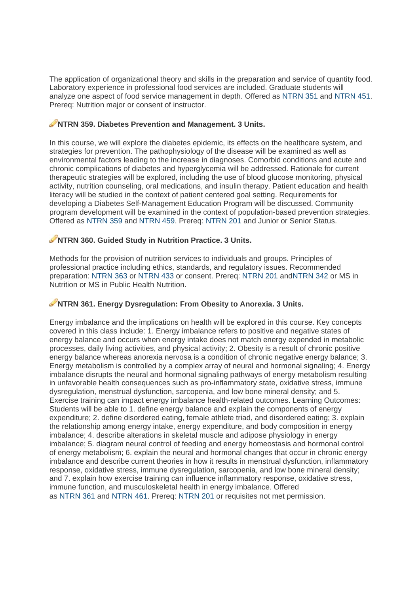The application of organizational theory and skills in the preparation and service of quantity food. Laboratory experience in professional food services are included. Graduate students will analyze one aspect of food service management in depth. Offered as NTRN 351 and NTRN 451. Prereg: Nutrition major or consent of instructor.

# NTRN 359. Diabetes Prevention and Management. 3 Units.

In this course, we will explore the diabetes epidemic, its effects on the healthcare system, and strategies for prevention. The pathophysiology of the disease will be examined as well as environmental factors leading to the increase in diagnoses. Comorbid conditions and acute and chronic complications of diabetes and hyperglycemia will be addressed. Rationale for current therapeutic strategies will be explored, including the use of blood glucose monitoring, physical activity, nutrition counseling, oral medications, and insulin therapy. Patient education and health literacy will be studied in the context of patient centered goal setting. Requirements for developing a Diabetes Self-Management Education Program will be discussed. Community program development will be examined in the context of population-based prevention strategies. Offered as NTRN 359 and NTRN 459. Prereq: NTRN 201 and Junior or Senior Status.

# NTRN 360, Guided Study in Nutrition Practice, 3 Units.

Methods for the provision of nutrition services to individuals and groups. Principles of professional practice including ethics, standards, and regulatory issues. Recommended preparation: NTRN 363 or NTRN 433 or consent. Prereq: NTRN 201 andNTRN 342 or MS in Nutrition or MS in Public Health Nutrition.

# NTRN 361. Energy Dysregulation: From Obesity to Anorexia. 3 Units.

Energy imbalance and the implications on health will be explored in this course. Key concepts covered in this class include: 1. Energy imbalance refers to positive and negative states of energy balance and occurs when energy intake does not match energy expended in metabolic processes, daily living activities, and physical activity: 2. Obesity is a result of chronic positive energy balance whereas anorexia nervosa is a condition of chronic negative energy balance; 3. Energy metabolism is controlled by a complex array of neural and hormonal signaling; 4. Energy imbalance disrupts the neural and hormonal signaling pathways of energy metabolism resulting in unfavorable health consequences such as pro-inflammatory state, oxidative stress, immune dysregulation, menstrual dysfunction, sarcopenia, and low bone mineral density; and 5. Exercise training can impact energy imbalance health-related outcomes. Learning Outcomes: Students will be able to 1. define energy balance and explain the components of energy expenditure; 2. define disordered eating, female athlete triad, and disordered eating; 3. explain the relationship among energy intake, energy expenditure, and body composition in energy imbalance; 4. describe alterations in skeletal muscle and adipose physiology in energy imbalance; 5. diagram neural control of feeding and energy homeostasis and hormonal control of energy metabolism: 6, explain the neural and hormonal changes that occur in chronic energy imbalance and describe current theories in how it results in menstrual dysfunction, inflammatory response, oxidative stress, immune dysregulation, sarcopenia, and low bone mineral density; and 7. explain how exercise training can influence inflammatory response, oxidative stress, immune function, and musculoskeletal health in energy imbalance. Offered as NTRN 361 and NTRN 461. Prereq: NTRN 201 or requisites not met permission.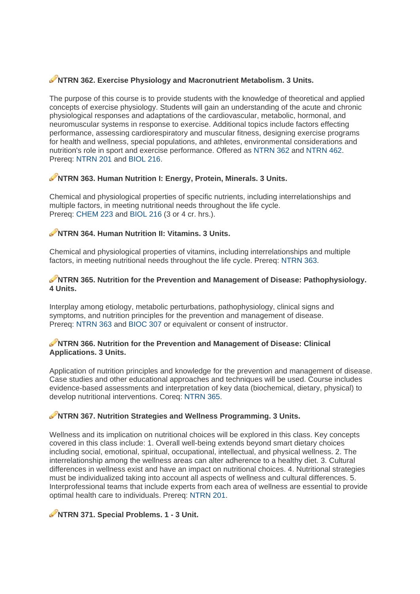# **NITRN 362. Exercise Physiology and Macronutrient Metabolism. 3 Units.**

The purpose of this course is to provide students with the knowledge of theoretical and applied concepts of exercise physiology. Students will gain an understanding of the acute and chronic physiological responses and adaptations of the cardiovascular, metabolic, hormonal, and neuromuscular systems in response to exercise. Additional topics include factors effecting performance, assessing cardiorespiratory and muscular fitness, designing exercise programs for health and wellness, special populations, and athletes, environmental considerations and nutrition's role in sport and exercise performance. Offered as NTRN 362 and NTRN 462. Prereg: NTRN 201 and BIOL 216.

# NTRN 363. Human Nutrition I: Energy, Protein, Minerals. 3 Units.

Chemical and physiological properties of specific nutrients, including interrelationships and multiple factors, in meeting nutritional needs throughout the life cycle. Prereq: CHEM 223 and BIOL 216 (3 or 4 cr. hrs.).

#### NTRN 364. Human Nutrition II: Vitamins. 3 Units.

Chemical and physiological properties of vitamins, including interrelationships and multiple factors, in meeting nutritional needs throughout the life cycle. Prereg: NTRN 363.

#### NTRN 365. Nutrition for the Prevention and Management of Disease: Pathophysiology. 4 Units.

Interplay among etiology, metabolic perturbations, pathophysiology, clinical signs and symptoms, and nutrition principles for the prevention and management of disease. Prereg: NTRN 363 and BIOC 307 or equivalent or consent of instructor.

#### NTRN 366. Nutrition for the Prevention and Management of Disease: Clinical **Applications, 3 Units.**

Application of nutrition principles and knowledge for the prevention and management of disease. Case studies and other educational approaches and techniques will be used. Course includes evidence-based assessments and interpretation of key data (biochemical, dietary, physical) to develop nutritional interventions. Coreq: NTRN 365.

# NTRN 367. Nutrition Strategies and Wellness Programming. 3 Units.

Wellness and its implication on nutritional choices will be explored in this class. Key concepts covered in this class include: 1. Overall well-being extends beyond smart dietary choices including social, emotional, spiritual, occupational, intellectual, and physical wellness, 2. The interrelationship among the wellness areas can alter adherence to a healthy diet. 3. Cultural differences in wellness exist and have an impact on nutritional choices. 4. Nutritional strategies must be individualized taking into account all aspects of wellness and cultural differences. 5. Interprofessional teams that include experts from each area of wellness are essential to provide optimal health care to individuals. Prereg: NTRN 201.

# NTRN 371. Special Problems. 1 - 3 Unit.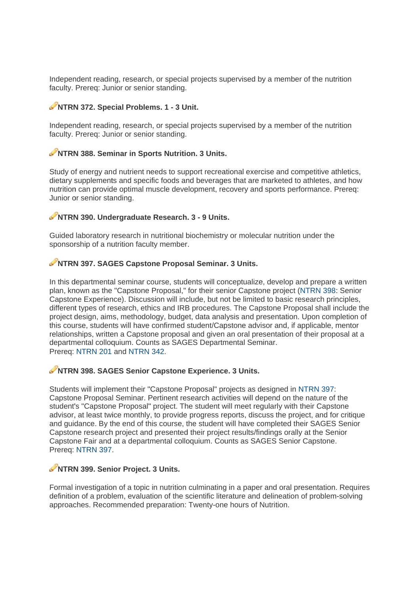Independent reading, research, or special projects supervised by a member of the nutrition faculty. Prereq: Junior or senior standing.

# NTRN 372. Special Problems. 1 - 3 Unit.

Independent reading, research, or special projects supervised by a member of the nutrition faculty. Prereq: Junior or senior standing.

# NTRN 388. Seminar in Sports Nutrition. 3 Units.

Study of energy and nutrient needs to support recreational exercise and competitive athletics, dietary supplements and specific foods and beverages that are marketed to athletes, and how nutrition can provide optimal muscle development, recovery and sports performance. Prereq: Junior or senior standing.

#### NTRN 390. Undergraduate Research. 3 - 9 Units.

Guided laboratory research in nutritional biochemistry or molecular nutrition under the sponsorship of a nutrition faculty member.

#### NTRN 397, SAGES Capstone Proposal Seminar, 3 Units.

In this departmental seminar course, students will conceptualize, develop and prepare a written plan, known as the "Capstone Proposal," for their senior Capstone project (NTRN 398: Senior Capstone Experience). Discussion will include, but not be limited to basic research principles. different types of research, ethics and IRB procedures. The Capstone Proposal shall include the project design, aims, methodology, budget, data analysis and presentation. Upon completion of this course, students will have confirmed student/Capstone advisor and, if applicable, mentor relationships, written a Capstone proposal and given an oral presentation of their proposal at a departmental colloquium. Counts as SAGES Departmental Seminar. Prereg: NTRN 201 and NTRN 342.

#### NTRN 398. SAGES Senior Capstone Experience. 3 Units.

Students will implement their "Capstone Proposal" projects as designed in NTRN 397: Capstone Proposal Seminar. Pertinent research activities will depend on the nature of the student's "Capstone Proposal" project. The student will meet regularly with their Capstone advisor, at least twice monthly, to provide progress reports, discuss the project, and for critique and quidance. By the end of this course, the student will have completed their SAGES Senior Capstone research project and presented their project results/findings orally at the Senior Capstone Fair and at a departmental colloquium. Counts as SAGES Senior Capstone. Prereg: NTRN 397.

#### NTRN 399. Senior Project. 3 Units.

Formal investigation of a topic in nutrition culminating in a paper and oral presentation. Requires definition of a problem, evaluation of the scientific literature and delineation of problem-solving approaches. Recommended preparation: Twenty-one hours of Nutrition.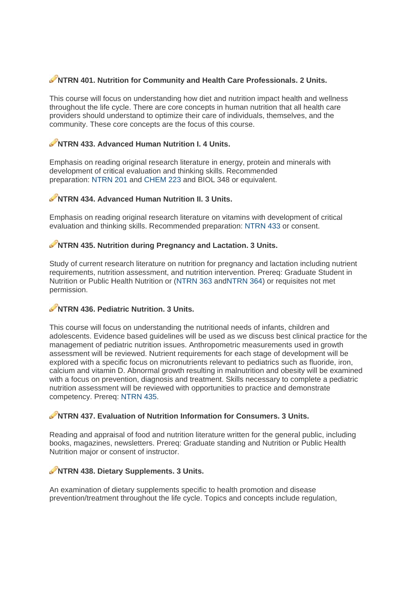# **NTRN 401. Nutrition for Community and Health Care Professionals. 2 Units.**

This course will focus on understanding how diet and nutrition impact health and wellness throughout the life cycle. There are core concepts in human nutrition that all health care providers should understand to optimize their care of individuals, themselves, and the community. These core concepts are the focus of this course. e<br>al

# **NTRN 433. Advanced Human Nutrition I. 4 Units.**

Emphasis on reading original research literature in energy, protein and minerals with development of critical evaluation and thinking skills. Recommended preparation: NTRN 201 and CHEM 223 and BIOL 348 or equivalent.

# **NTRN 434. Advanced Human Nutrition II. 3 Units.**

Emphasis on reading original research literature on vitamins with development of critica evaluation and thinking skills. Recommended preparation: NTRN 433 or consent.

# **NTRN 435. Nutrition during Pregnancy and Lactation. 3 Units.**

Study of current research literature on nutrition for pregnancy and lactation including nutrient requirements, nutrition assessment, and nutrition intervention. Prereq: Graduate Student in Nutrition or Public Health Nutrition or (NTRN 363 andNTRN 364) or requisites not met permiss sion.

# **NTRN 436. Pediatric Nutrition. 3 Units.**

This course will focus on understanding the nutritional needs of infants, children and adolescents. Evidence based guidelines will be used as we discuss best clinical practice for the management of pediatric nutrition issues. Anthropometric measurements used in growth assessment will be reviewed. Nutrient requirements for each stage of development will be explored with a specific focus on micronutrients relevant to pediatrics such as fluoride, iron, calcium and vitamin D. Abnormal growth resulting in malnutrition and obesity will be examined with a focus on prevention, diagnosis and treatment. Skills necessary to complete a pediatric nutrition assessment will be reviewed with opportunities to practice and demonstrate competency. Prereq: NTRN 435.

# **NTRN 437. Evaluation of Nutrition Information for Consumers. 3 Units.**

Reading and appraisal of food and nutrition literature written for the general public, including books, magazines, newsletters. Prereq: Graduate standing and Nutrition or Public Health Nutrition major or consent of instructor.

# **NTRN 438. Dietary Supplements. 3 Units.**

An examination of dietary supplements specific to health promotion and disease prevention/treatment throughout the life cycle. Topics and concepts include regulation,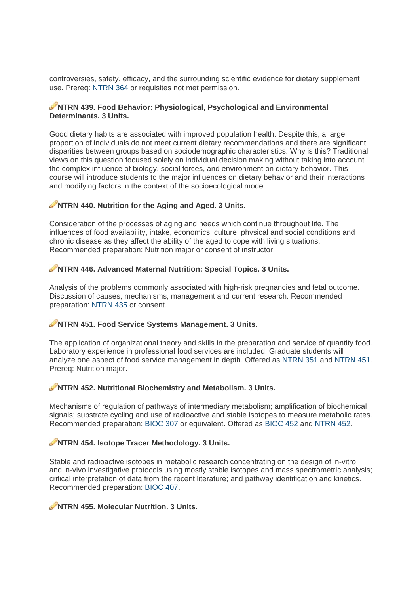controversies, safety, efficacy, and the surrounding scientific evidence for dietary supplement use. Prereq: NTRN 364 or requisites not met permission.

#### NTRN 439. Food Behavior: Physiological, Psychological and Environmental Determinants, 3 Units.

Good dietary habits are associated with improved population health. Despite this, a large proportion of individuals do not meet current dietary recommendations and there are significant disparities between groups based on sociodemographic characteristics. Why is this? Traditional views on this question focused solely on individual decision making without taking into account the complex influence of biology, social forces, and environment on dietary behavior. This course will introduce students to the major influences on dietary behavior and their interactions and modifying factors in the context of the socioecological model.

# NTRN 440. Nutrition for the Aging and Aged. 3 Units.

Consideration of the processes of aging and needs which continue throughout life. The influences of food availability, intake, economics, culture, physical and social conditions and chronic disease as they affect the ability of the aged to cope with living situations. Recommended preparation: Nutrition major or consent of instructor.

# NTRN 446. Advanced Maternal Nutrition: Special Topics. 3 Units.

Analysis of the problems commonly associated with high-risk pregnancies and fetal outcome. Discussion of causes, mechanisms, management and current research. Recommended preparation: NTRN 435 or consent.

# NTRN 451. Food Service Systems Management, 3 Units.

The application of organizational theory and skills in the preparation and service of quantity food. Laboratory experience in professional food services are included. Graduate students will analyze one aspect of food service management in depth. Offered as NTRN 351 and NTRN 451. Prereg: Nutrition major.

#### NTRN 452. Nutritional Biochemistry and Metabolism. 3 Units.

Mechanisms of regulation of pathways of intermediary metabolism; amplification of biochemical signals; substrate cycling and use of radioactive and stable isotopes to measure metabolic rates. Recommended preparation: BIOC 307 or equivalent. Offered as BIOC 452 and NTRN 452.

# NTRN 454. Isotope Tracer Methodology. 3 Units.

Stable and radioactive isotopes in metabolic research concentrating on the design of in-vitro and in-vivo investigative protocols using mostly stable isotopes and mass spectrometric analysis; critical interpretation of data from the recent literature: and pathway identification and kinetics. Recommended preparation: BIOC 407.

#### NTRN 455, Molecular Nutrition, 3 Units.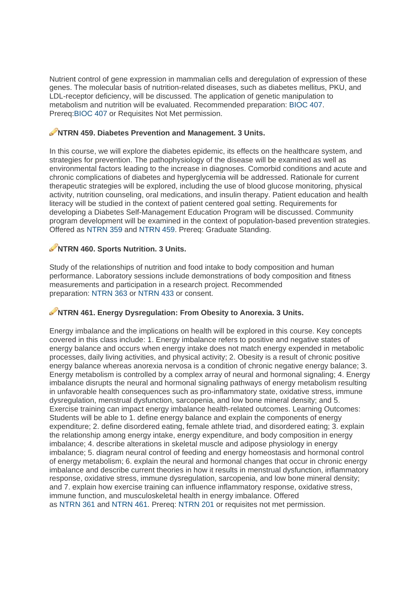Nutrient control of gene expression in mammalian cells and deregulation of expression of these genes. The molecular basis of nutrition-related diseases, such as diabetes mellitus, PKU, and LDL-receptor deficiency, will be discussed. The application of genetic manipulation to metabolism and nutrition will be evaluated. Recommended preparation: BIOC 407. Prereq:BIOC 407 or Requisites Not Met permission.

# **NO NO HIS AND A SOLUTION STATES.** NO NO MAIN A 159. Diabetes Prevention and Management. 3 Units.

In this course, we will explore the diabetes epidemic, its effects on the healthcare system, and strategies for prevention. The pathophysiology of the disease will be examined as well as environmental factors leading to the increase in diagnoses. Comorbid conditions and acute and chronic complications of diabetes and hyperglycemia will be addressed. Rationale for current therapeutic strategies will be explored, including the use of blood glucose monitoring, physical activity, nutrition counseling, oral medications, and insulin therapy. Patient education and health literacy will be studied in the context of patient centered goal setting. Requirements for developing a Diabetes Self-Management Education Program will be discussed. Community program development will be examined in the context of population-based prevention strategies. Offered as NTRN 359 and NTRN 459, Prereg: Graduate Standing.

# NTRN 460. Sports Nutrition. 3 Units.

Study of the relationships of nutrition and food intake to body composition and human performance. Laboratory sessions include demonstrations of body composition and fitness measurements and participation in a research project. Recommended preparation: NTRN 363 or NTRN 433 or consent.

# NTRN 461. Energy Dysregulation: From Obesity to Anorexia. 3 Units.

Energy imbalance and the implications on health will be explored in this course. Key concepts covered in this class include: 1. Energy imbalance refers to positive and negative states of energy balance and occurs when energy intake does not match energy expended in metabolic processes, daily living activities, and physical activity; 2. Obesity is a result of chronic positive energy balance whereas anorexia nervosa is a condition of chronic negative energy balance; 3. Energy metabolism is controlled by a complex array of neural and hormonal signaling; 4. Energy imbalance disrupts the neural and hormonal signaling pathways of energy metabolism resulting in unfavorable health consequences such as pro-inflammatory state, oxidative stress, immune dysregulation, menstrual dysfunction, sarcopenia, and low bone mineral density; and 5. Exercise training can impact energy imbalance health-related outcomes. Learning Outcomes: Students will be able to 1, define energy balance and explain the components of energy expenditure; 2. define disordered eating, female athlete triad, and disordered eating; 3. explain the relationship among energy intake, energy expenditure, and body composition in energy imbalance; 4. describe alterations in skeletal muscle and adipose physiology in energy imbalance: 5, diagram neural control of feeding and energy homeostasis and hormonal control of energy metabolism: 6, explain the neural and hormonal changes that occur in chronic energy imbalance and describe current theories in how it results in menstrual dysfunction, inflammatory response, oxidative stress, immune dysregulation, sarcopenia, and low bone mineral density; and 7. explain how exercise training can influence inflammatory response, oxidative stress, immune function, and musculoskeletal health in energy imbalance. Offered as NTRN 361 and NTRN 461. Prereq: NTRN 201 or requisites not met permission.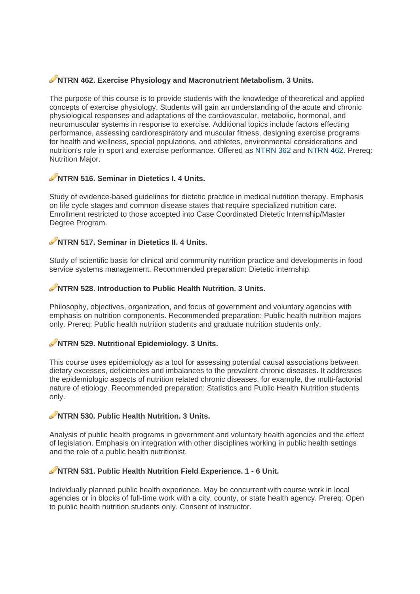# **NITRN 462. Exercise Physiology and Macronutrient Metabolism. 3 Units.**

The purpose of this course is to provide students with the knowledge of theoretical and applied concepts of exercise physiology. Students will gain an understanding of the acute and chronic physiological responses and adaptations of the cardiovascular, metabolic, hormonal, and neuromuscular systems in response to exercise. Additional topics include factors effecting performance, assessing cardiorespiratory and muscular fitness, designing exercise programs for health and wellness, special populations, and athletes, environmental considerations and nutrition's role in sport and exercise performance. Offered as NTRN 362 and NTRN 462. Prereq: Nutrition Maior.

# NTRN 516. Seminar in Dietetics I. 4 Units.

Study of evidence-based guidelines for dietetic practice in medical nutrition therapy. Emphasis on life cycle stages and common disease states that require specialized nutrition care. Enrollment restricted to those accepted into Case Coordinated Dietetic Internship/Master Degree Program.

# NTRN 517, Seminar in Dietetics II, 4 Units

Study of scientific basis for clinical and community nutrition practice and developments in food service systems management. Recommended preparation: Dietetic internship.

#### NTRN 528. Introduction to Public Health Nutrition. 3 Units.

Philosophy, objectives, organization, and focus of government and voluntary agencies with emphasis on nutrition components. Recommended preparation: Public health nutrition majors only. Prereg: Public health nutrition students and graduate nutrition students only.

# NTRN 529. Nutritional Epidemiology. 3 Units.

This course uses epidemiology as a tool for assessing potential causal associations between dietary excesses, deficiencies and imbalances to the prevalent chronic diseases. It addresses the epidemiologic aspects of nutrition related chronic diseases, for example, the multi-factorial nature of etiology. Recommended preparation: Statistics and Public Health Nutrition students only.

# NTRN 530, Public Health Nutrition, 3 Units.

Analysis of public health programs in government and voluntary health agencies and the effect of legislation. Emphasis on integration with other disciplines working in public health settings and the role of a public health nutritionist.

#### NTRN 531. Public Health Nutrition Field Experience. 1 - 6 Unit.

Individually planned public health experience. May be concurrent with course work in local agencies or in blocks of full-time work with a city, county, or state health agency. Prereg: Open to public health nutrition students only. Consent of instructor.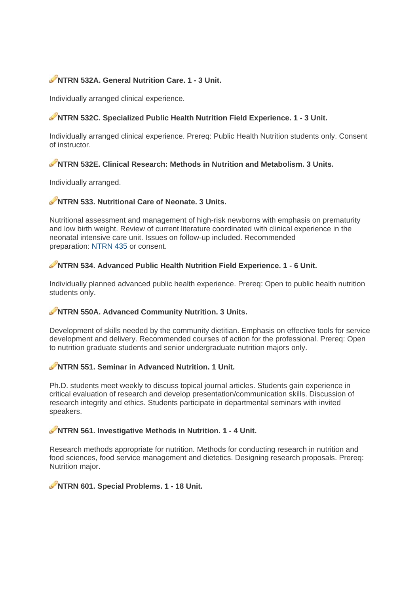# NTRN 532A. General Nutrition Care. 1 - 3 Unit.

Individually arranged clinical experience.

# NTRN 532C. Specialized Public Health Nutrition Field Experience. 1 - 3 Unit.

Individually arranged clinical experience. Prereg: Public Health Nutrition students only. Consent of instructor

# NTRN 532E. Clinical Research: Methods in Nutrition and Metabolism. 3 Units.

Individually arranged.

# NTRN 533. Nutritional Care of Neonate. 3 Units.

Nutritional assessment and management of high-risk newborns with emphasis on prematurity and low birth weight. Review of current literature coordinated with clinical experience in the neonatal intensive care unit. Issues on follow-up included. Recommended preparation: NTRN 435 or consent.

# NTRN 534, Advanced Public Health Nutrition Field Experience, 1 - 6 Unit.

Individually planned advanced public health experience. Prereq: Open to public health nutrition students only.

# NTRN 550A. Advanced Community Nutrition. 3 Units.

Development of skills needed by the community dietitian. Emphasis on effective tools for service development and delivery. Recommended courses of action for the professional. Prereq: Open to nutrition graduate students and senior undergraduate nutrition majors only.

# NTRN 551, Seminar in Advanced Nutrition, 1 Unit.

Ph.D. students meet weekly to discuss topical journal articles. Students gain experience in critical evaluation of research and develop presentation/communication skills. Discussion of research integrity and ethics. Students participate in departmental seminars with invited speakers.

# NTRN 561. Investigative Methods in Nutrition. 1 - 4 Unit.

Research methods appropriate for nutrition. Methods for conducting research in nutrition and food sciences, food service management and dietetics. Designing research proposals. Prereq: Nutrition major.

# NTRN 601. Special Problems. 1 - 18 Unit.